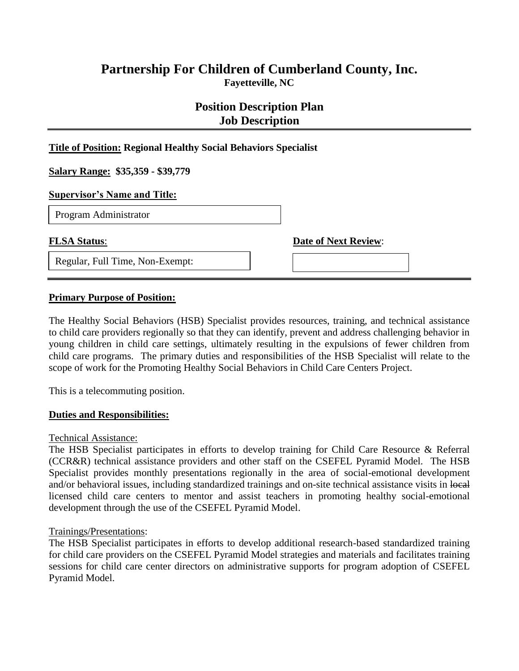# **Partnership For Children of Cumberland County, Inc. Fayetteville, NC**

# **Position Description Plan Job Description**

### **Title of Position: Regional Healthy Social Behaviors Specialist**

**Salary Range: \$35,359 - \$39,779**

#### **Supervisor's Name and Title:**

D Program Administrator

Regular, Full Time, Non-Exempt:

**FLSA Status**: **Date of Next Review**:

### **Primary Purpose of Position:**

The Healthy Social Behaviors (HSB) Specialist provides resources, training, and technical assistance to child care providers regionally so that they can identify, prevent and address challenging behavior in young children in child care settings, ultimately resulting in the expulsions of fewer children from child care programs. The primary duties and responsibilities of the HSB Specialist will relate to the scope of work for the Promoting Healthy Social Behaviors in Child Care Centers Project.

This is a telecommuting position.

#### **Duties and Responsibilities:**

#### Technical Assistance:

The HSB Specialist participates in efforts to develop training for Child Care Resource & Referral (CCR&R) technical assistance providers and other staff on the CSEFEL Pyramid Model. The HSB Specialist provides monthly presentations regionally in the area of social-emotional development and/or behavioral issues, including standardized trainings and on-site technical assistance visits in local licensed child care centers to mentor and assist teachers in promoting healthy social-emotional development through the use of the CSEFEL Pyramid Model.

### Trainings/Presentations:

The HSB Specialist participates in efforts to develop additional research-based standardized training for child care providers on the CSEFEL Pyramid Model strategies and materials and facilitates training sessions for child care center directors on administrative supports for program adoption of CSEFEL Pyramid Model.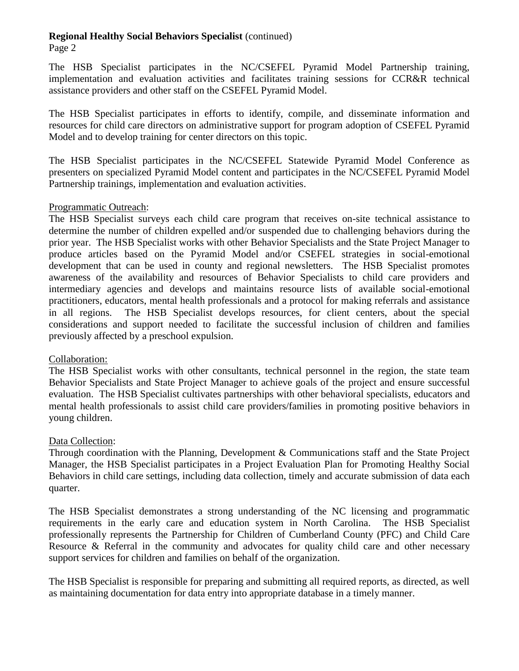Page 2

The HSB Specialist participates in the NC/CSEFEL Pyramid Model Partnership training, implementation and evaluation activities and facilitates training sessions for CCR&R technical assistance providers and other staff on the CSEFEL Pyramid Model.

The HSB Specialist participates in efforts to identify, compile, and disseminate information and resources for child care directors on administrative support for program adoption of CSEFEL Pyramid Model and to develop training for center directors on this topic.

The HSB Specialist participates in the NC/CSEFEL Statewide Pyramid Model Conference as presenters on specialized Pyramid Model content and participates in the NC/CSEFEL Pyramid Model Partnership trainings, implementation and evaluation activities.

### Programmatic Outreach:

The HSB Specialist surveys each child care program that receives on-site technical assistance to determine the number of children expelled and/or suspended due to challenging behaviors during the prior year. The HSB Specialist works with other Behavior Specialists and the State Project Manager to produce articles based on the Pyramid Model and/or CSEFEL strategies in social-emotional development that can be used in county and regional newsletters. The HSB Specialist promotes awareness of the availability and resources of Behavior Specialists to child care providers and intermediary agencies and develops and maintains resource lists of available social-emotional practitioners, educators, mental health professionals and a protocol for making referrals and assistance in all regions. The HSB Specialist develops resources, for client centers, about the special considerations and support needed to facilitate the successful inclusion of children and families previously affected by a preschool expulsion.

## Collaboration:

The HSB Specialist works with other consultants, technical personnel in the region, the state team Behavior Specialists and State Project Manager to achieve goals of the project and ensure successful evaluation. The HSB Specialist cultivates partnerships with other behavioral specialists, educators and mental health professionals to assist child care providers/families in promoting positive behaviors in young children.

## Data Collection:

Through coordination with the Planning, Development & Communications staff and the State Project Manager, the HSB Specialist participates in a Project Evaluation Plan for Promoting Healthy Social Behaviors in child care settings, including data collection, timely and accurate submission of data each quarter.

The HSB Specialist demonstrates a strong understanding of the NC licensing and programmatic requirements in the early care and education system in North Carolina. The HSB Specialist professionally represents the Partnership for Children of Cumberland County (PFC) and Child Care Resource & Referral in the community and advocates for quality child care and other necessary support services for children and families on behalf of the organization.

The HSB Specialist is responsible for preparing and submitting all required reports, as directed, as well as maintaining documentation for data entry into appropriate database in a timely manner.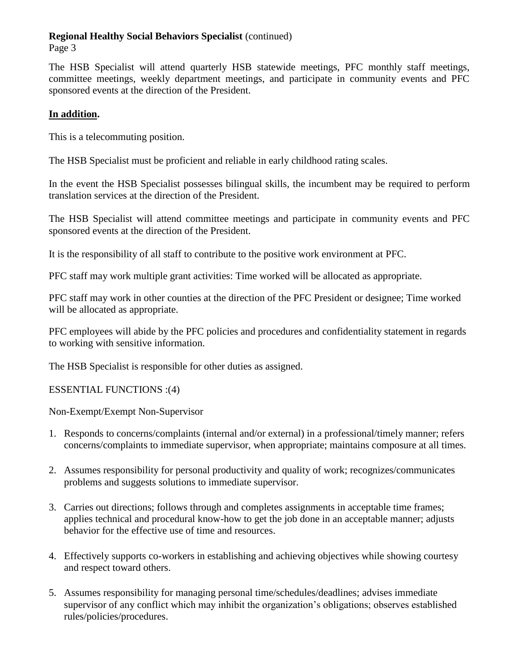Page 3

The HSB Specialist will attend quarterly HSB statewide meetings, PFC monthly staff meetings, committee meetings, weekly department meetings, and participate in community events and PFC sponsored events at the direction of the President.

# **In addition.**

This is a telecommuting position.

The HSB Specialist must be proficient and reliable in early childhood rating scales.

In the event the HSB Specialist possesses bilingual skills, the incumbent may be required to perform translation services at the direction of the President.

The HSB Specialist will attend committee meetings and participate in community events and PFC sponsored events at the direction of the President.

It is the responsibility of all staff to contribute to the positive work environment at PFC.

PFC staff may work multiple grant activities: Time worked will be allocated as appropriate.

PFC staff may work in other counties at the direction of the PFC President or designee; Time worked will be allocated as appropriate.

PFC employees will abide by the PFC policies and procedures and confidentiality statement in regards to working with sensitive information.

The HSB Specialist is responsible for other duties as assigned.

ESSENTIAL FUNCTIONS :(4)

Non-Exempt/Exempt Non-Supervisor

- 1. Responds to concerns/complaints (internal and/or external) in a professional/timely manner; refers concerns/complaints to immediate supervisor, when appropriate; maintains composure at all times.
- 2. Assumes responsibility for personal productivity and quality of work; recognizes/communicates problems and suggests solutions to immediate supervisor.
- 3. Carries out directions; follows through and completes assignments in acceptable time frames; applies technical and procedural know-how to get the job done in an acceptable manner; adjusts behavior for the effective use of time and resources.
- 4. Effectively supports co-workers in establishing and achieving objectives while showing courtesy and respect toward others.
- 5. Assumes responsibility for managing personal time/schedules/deadlines; advises immediate supervisor of any conflict which may inhibit the organization's obligations; observes established rules/policies/procedures.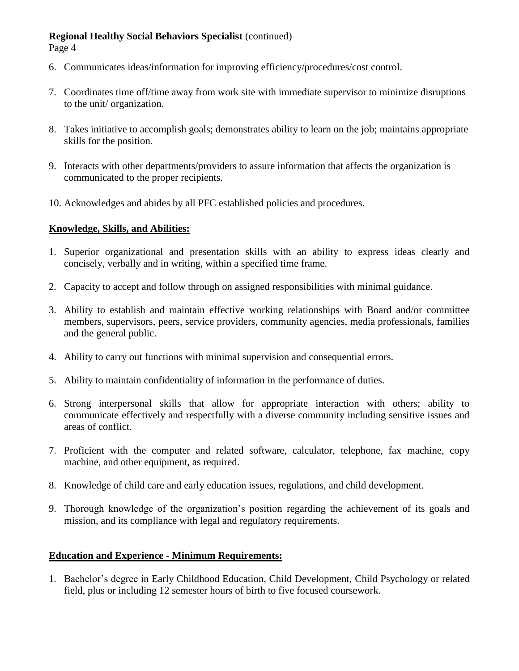Page 4

- 6. Communicates ideas/information for improving efficiency/procedures/cost control.
- 7. Coordinates time off/time away from work site with immediate supervisor to minimize disruptions to the unit/ organization.
- 8. Takes initiative to accomplish goals; demonstrates ability to learn on the job; maintains appropriate skills for the position.
- 9. Interacts with other departments/providers to assure information that affects the organization is communicated to the proper recipients.
- 10. Acknowledges and abides by all PFC established policies and procedures.

## **Knowledge, Skills, and Abilities:**

- 1. Superior organizational and presentation skills with an ability to express ideas clearly and concisely, verbally and in writing, within a specified time frame.
- 2. Capacity to accept and follow through on assigned responsibilities with minimal guidance.
- 3. Ability to establish and maintain effective working relationships with Board and/or committee members, supervisors, peers, service providers, community agencies, media professionals, families and the general public.
- 4. Ability to carry out functions with minimal supervision and consequential errors.
- 5. Ability to maintain confidentiality of information in the performance of duties.
- 6. Strong interpersonal skills that allow for appropriate interaction with others; ability to communicate effectively and respectfully with a diverse community including sensitive issues and areas of conflict.
- 7. Proficient with the computer and related software, calculator, telephone, fax machine, copy machine, and other equipment, as required.
- 8. Knowledge of child care and early education issues, regulations, and child development.
- 9. Thorough knowledge of the organization's position regarding the achievement of its goals and mission, and its compliance with legal and regulatory requirements.

# **Education and Experience - Minimum Requirements:**

1. Bachelor's degree in Early Childhood Education, Child Development, Child Psychology or related field, plus or including 12 semester hours of birth to five focused coursework.